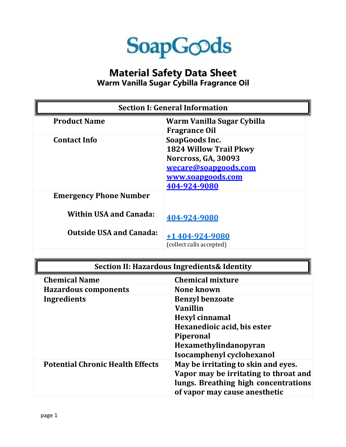

## **Material Safety Data Sheet Warm Vanilla Sugar Cybilla Fragrance Oil**

| <b>Section I: General Information</b> |                                                                                                                                     |
|---------------------------------------|-------------------------------------------------------------------------------------------------------------------------------------|
| <b>Product Name</b>                   | Warm Vanilla Sugar Cybilla<br><b>Fragrance Oil</b>                                                                                  |
| <b>Contact Info</b>                   | SoapGoods Inc.<br><b>1824 Willow Trail Pkwy</b><br>Norcross, GA, 30093<br>wecare@soapgoods.com<br>www.soapgoods.com<br>404-924-9080 |
| <b>Emergency Phone Number</b>         |                                                                                                                                     |
| <b>Within USA and Canada:</b>         | 404-924-9080                                                                                                                        |
| <b>Outside USA and Canada:</b>        | +1404-924-9080<br>(collect calls accepted)                                                                                          |

| <b>Section II: Hazardous Ingredients &amp; Identity</b> |                                       |  |
|---------------------------------------------------------|---------------------------------------|--|
| <b>Chemical Name</b>                                    | <b>Chemical mixture</b>               |  |
| <b>Hazardous components</b>                             | <b>None known</b>                     |  |
| Ingredients                                             | <b>Benzyl benzoate</b>                |  |
|                                                         | Vanillin                              |  |
|                                                         | <b>Hexyl cinnamal</b>                 |  |
|                                                         | Hexanedioic acid, bis ester           |  |
|                                                         | <b>Piperonal</b>                      |  |
|                                                         | Hexamethylindanopyran                 |  |
|                                                         | Isocamphenyl cyclohexanol             |  |
| <b>Potential Chronic Health Effects</b>                 | May be irritating to skin and eyes.   |  |
|                                                         | Vapor may be irritating to throat and |  |
|                                                         | lungs. Breathing high concentrations  |  |
|                                                         | of vapor may cause anesthetic         |  |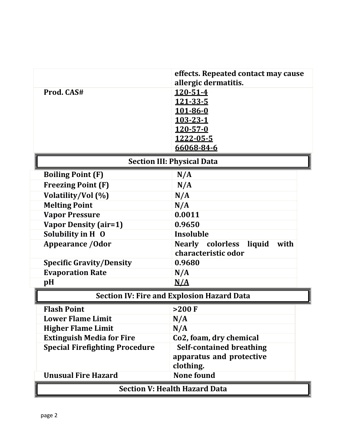|                                       | effects. Repeated contact may cause               |  |
|---------------------------------------|---------------------------------------------------|--|
|                                       | allergic dermatitis.                              |  |
| Prod. CAS#                            | 120-51-4                                          |  |
|                                       | 121-33-5                                          |  |
|                                       | 101-86-0                                          |  |
|                                       | 103-23-1                                          |  |
|                                       | $120 - 57 - 0$                                    |  |
|                                       | 1222-05-5                                         |  |
|                                       | 66068-84-6                                        |  |
| <b>Section III: Physical Data</b>     |                                                   |  |
| <b>Boiling Point (F)</b>              | N/A                                               |  |
| <b>Freezing Point (F)</b>             | N/A                                               |  |
| Volatility/Vol (%)                    | N/A                                               |  |
| <b>Melting Point</b>                  | N/A                                               |  |
| <b>Vapor Pressure</b>                 | 0.0011                                            |  |
| <b>Vapor Density (air=1)</b>          | 0.9650                                            |  |
| Solubility in H O                     | Insoluble                                         |  |
| <b>Appearance / Odor</b>              | Nearly colorless liquid<br>with                   |  |
|                                       | characteristic odor                               |  |
| <b>Specific Gravity/Density</b>       | 0.9680                                            |  |
| <b>Evaporation Rate</b>               | N/A                                               |  |
| pH                                    | N/A                                               |  |
|                                       | <b>Section IV: Fire and Explosion Hazard Data</b> |  |
| <b>Flash Point</b>                    | $>200$ F                                          |  |
| <b>Lower Flame Limit</b>              | N/A                                               |  |
| <b>Higher Flame Limit</b>             | N/A                                               |  |
| <b>Extinguish Media for Fire</b>      | Co2, foam, dry chemical                           |  |
| <b>Special Firefighting Procedure</b> | <b>Self-contained breathing</b>                   |  |
|                                       | apparatus and protective                          |  |
|                                       | clothing.                                         |  |
| <b>Unusual Fire Hazard</b>            | <b>None found</b>                                 |  |
| <b>Section V: Health Hazard Data</b>  |                                                   |  |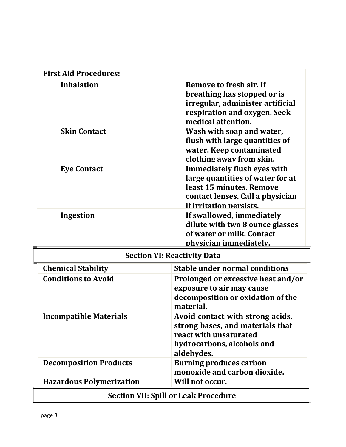| <b>First Aid Procedures:</b>       |                                                                                                                                                                   |  |
|------------------------------------|-------------------------------------------------------------------------------------------------------------------------------------------------------------------|--|
| <b>Inhalation</b>                  | Remove to fresh air. If<br>breathing has stopped or is<br>irregular, administer artificial<br>respiration and oxygen. Seek<br>medical attention.                  |  |
| <b>Skin Contact</b>                | Wash with soap and water,<br>flush with large quantities of<br>water. Keep contaminated<br>clothing away from skin.                                               |  |
| <b>Eye Contact</b>                 | <b>Immediately flush eyes with</b><br>large quantities of water for at<br>least 15 minutes. Remove<br>contact lenses. Call a physician<br>if irritation persists. |  |
| Ingestion                          | If swallowed, immediately<br>dilute with two 8 ounce glasses<br>of water or milk. Contact<br>physician immediately.                                               |  |
| <b>Section VI: Reactivity Data</b> |                                                                                                                                                                   |  |
| <b>Chemical Stability</b>          | <b>Stable under normal conditions</b>                                                                                                                             |  |
| <b>Conditions to Avoid</b>         | Prolonged or excessive heat and/or<br>exposure to air may cause<br>decomposition or oxidation of the<br>material.                                                 |  |
| <b>Incompatible Materials</b>      | Avoid contact with strong acids,<br>strong bases, and materials that<br>react with unsaturated<br>hydrocarbons, alcohols and<br>aldehydes.                        |  |
| <b>Decomposition Products</b>      | <b>Burning produces carbon</b><br>monoxide and carbon dioxide.<br>Will not occur.                                                                                 |  |
| <b>Hazardous Polymerization</b>    | <b>Section VII: Spill or Leak Procedure</b>                                                                                                                       |  |
|                                    |                                                                                                                                                                   |  |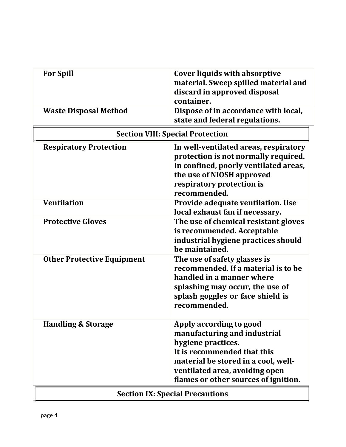| <b>For Spill</b>                        | <b>Cover liquids with absorptive</b><br>material. Sweep spilled material and<br>discard in approved disposal<br>container.                                                                                                    |
|-----------------------------------------|-------------------------------------------------------------------------------------------------------------------------------------------------------------------------------------------------------------------------------|
| <b>Waste Disposal Method</b>            | Dispose of in accordance with local,<br>state and federal regulations.                                                                                                                                                        |
| <b>Section VIII: Special Protection</b> |                                                                                                                                                                                                                               |
| <b>Respiratory Protection</b>           | In well-ventilated areas, respiratory<br>protection is not normally required.<br>In confined, poorly ventilated areas,<br>the use of NIOSH approved<br>respiratory protection is<br>recommended.                              |
| <b>Ventilation</b>                      | Provide adequate ventilation. Use<br>local exhaust fan if necessary.                                                                                                                                                          |
| <b>Protective Gloves</b>                | The use of chemical resistant gloves<br>is recommended. Acceptable<br>industrial hygiene practices should<br>be maintained.                                                                                                   |
| <b>Other Protective Equipment</b>       | The use of safety glasses is<br>recommended. If a material is to be<br>handled in a manner where<br>splashing may occur, the use of<br>splash goggles or face shield is<br>recommended.                                       |
| <b>Handling &amp; Storage</b>           | Apply according to good<br>manufacturing and industrial<br>hygiene practices.<br>It is recommended that this<br>material be stored in a cool, well-<br>ventilated area, avoiding open<br>flames or other sources of ignition. |
| <b>Section IX: Special Precautions</b>  |                                                                                                                                                                                                                               |